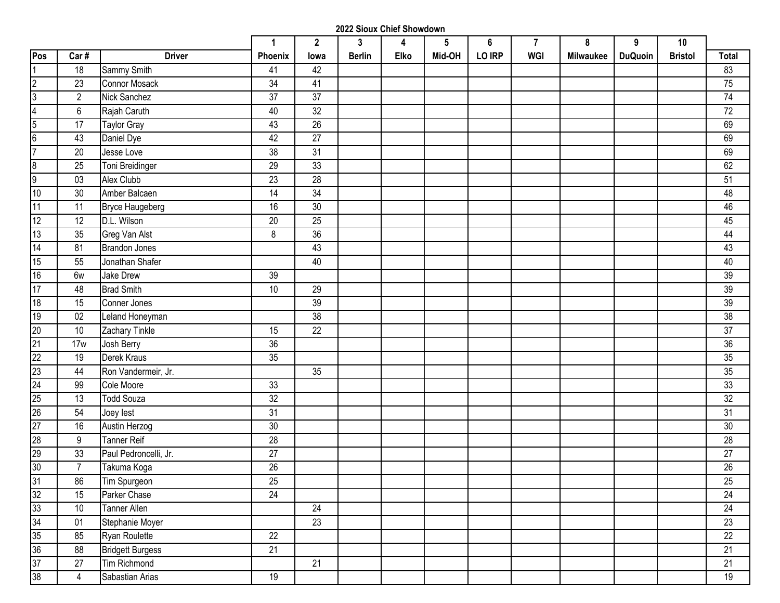**2022 Sioux Chief Showdown**

|                 |                |                         | $\mathbf{1}$    | $\mathbf{2}$    | 3             | 4           | 5      | 6      | 7          | 8                | 9              | 10             |                 |
|-----------------|----------------|-------------------------|-----------------|-----------------|---------------|-------------|--------|--------|------------|------------------|----------------|----------------|-----------------|
| Pos             | Car#           | <b>Driver</b>           | Phoenix         | lowa            | <b>Berlin</b> | <b>Elko</b> | Mid-OH | LO IRP | <b>WGI</b> | <b>Milwaukee</b> | <b>DuQuoin</b> | <b>Bristol</b> | <b>Total</b>    |
|                 | 18             | Sammy Smith             | 41              | 42              |               |             |        |        |            |                  |                |                | 83              |
| $\overline{2}$  | 23             | Connor Mosack           | 34              | 41              |               |             |        |        |            |                  |                |                | 75              |
| $\overline{3}$  | $\overline{2}$ | <b>Nick Sanchez</b>     | 37              | 37              |               |             |        |        |            |                  |                |                | 74              |
| $\overline{4}$  | 6              | Rajah Caruth            | 40              | 32              |               |             |        |        |            |                  |                |                | $\overline{72}$ |
| $5\overline{5}$ | 17             | <b>Taylor Gray</b>      | 43              | $\overline{26}$ |               |             |        |        |            |                  |                |                | 69              |
| 6               | 43             | Daniel Dye              | 42              | $\overline{27}$ |               |             |        |        |            |                  |                |                | 69              |
| 7               | 20             | Jesse Love              | 38              | 31              |               |             |        |        |            |                  |                |                | 69              |
| $\bf{8}$        | 25             | Toni Breidinger         | 29              | 33              |               |             |        |        |            |                  |                |                | 62              |
| 9               | 03             | Alex Clubb              | 23              | 28              |               |             |        |        |            |                  |                |                | 51              |
| 10              | 30             | Amber Balcaen           | 14              | 34              |               |             |        |        |            |                  |                |                | 48              |
| 11              | 11             | <b>Bryce Haugeberg</b>  | 16              | 30              |               |             |        |        |            |                  |                |                | 46              |
| 12              | 12             | D.L. Wilson             | 20              | 25              |               |             |        |        |            |                  |                |                | 45              |
| 13              | 35             | <b>Greg Van Alst</b>    | 8               | $\overline{36}$ |               |             |        |        |            |                  |                |                | 44              |
| 14              | 81             | <b>Brandon Jones</b>    |                 | 43              |               |             |        |        |            |                  |                |                | 43              |
| 15              | 55             | Jonathan Shafer         |                 | 40              |               |             |        |        |            |                  |                |                | 40              |
| 16              | 6w             | Jake Drew               | 39              |                 |               |             |        |        |            |                  |                |                | 39              |
| 17              | 48             | <b>Brad Smith</b>       | 10              | 29              |               |             |        |        |            |                  |                |                | 39              |
| 18              | 15             | Conner Jones            |                 | 39              |               |             |        |        |            |                  |                |                | 39              |
| 19              | 02             | Leland Honeyman         |                 | $\overline{38}$ |               |             |        |        |            |                  |                |                | 38              |
| 20              | 10             | Zachary Tinkle          | 15              | 22              |               |             |        |        |            |                  |                |                | 37              |
| 21              | 17w            | Josh Berry              | 36              |                 |               |             |        |        |            |                  |                |                | 36              |
| 22              | 19             | Derek Kraus             | 35              |                 |               |             |        |        |            |                  |                |                | 35              |
| 23              | 44             | Ron Vandermeir, Jr.     |                 | 35              |               |             |        |        |            |                  |                |                | 35              |
| 24              | 99             | Cole Moore              | 33              |                 |               |             |        |        |            |                  |                |                | 33              |
| 25              | 13             | <b>Todd Souza</b>       | 32              |                 |               |             |        |        |            |                  |                |                | 32              |
| 26              | 54             | Joey lest               | 31              |                 |               |             |        |        |            |                  |                |                | 31              |
| $\overline{27}$ | 16             | Austin Herzog           | 30              |                 |               |             |        |        |            |                  |                |                | 30              |
| 28              | 9              | <b>Tanner Reif</b>      | 28              |                 |               |             |        |        |            |                  |                |                | 28              |
| 29              | 33             | Paul Pedroncelli, Jr.   | $\overline{27}$ |                 |               |             |        |        |            |                  |                |                | $\overline{27}$ |
| 30              | $\overline{7}$ | Takuma Koga             | 26              |                 |               |             |        |        |            |                  |                |                | 26              |
| 31              | 86             | Tim Spurgeon            | 25              |                 |               |             |        |        |            |                  |                |                | 25              |
| 32              | 15             | Parker Chase            | 24              |                 |               |             |        |        |            |                  |                |                | 24              |
| 33              | 10             | Tanner Allen            |                 | 24              |               |             |        |        |            |                  |                |                | 24              |
| 34              | 01             | Stephanie Moyer         |                 | $\overline{23}$ |               |             |        |        |            |                  |                |                | $\overline{23}$ |
| 35              | 85             | Ryan Roulette           | 22              |                 |               |             |        |        |            |                  |                |                | $\overline{22}$ |
| 36              | 88             | <b>Bridgett Burgess</b> | 21              |                 |               |             |        |        |            |                  |                |                | 21              |
| 37              | 27             | <b>Tim Richmond</b>     |                 | 21              |               |             |        |        |            |                  |                |                | $\overline{21}$ |
| 38              | $\overline{4}$ | Sabastian Arias         | 19              |                 |               |             |        |        |            |                  |                |                | 19              |